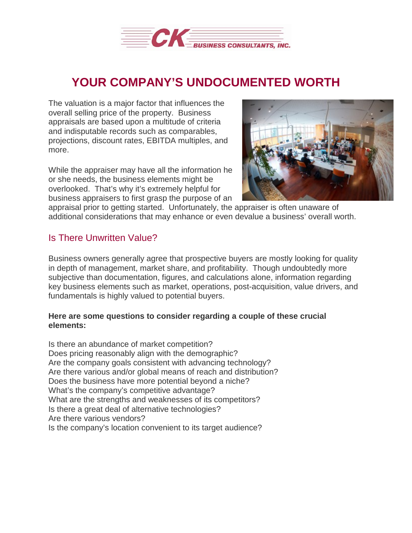

# **YOUR COMPANY'S UNDOCUMENTED WORTH**

The valuation is a major factor that influences the overall selling price of the property. Business appraisals are based upon a multitude of criteria and indisputable records such as comparables, projections, discount rates, EBITDA multiples, and more.

While the appraiser may have all the information he or she needs, the business elements might be overlooked. That's why it's extremely helpful for business appraisers to first grasp the purpose of an



appraisal prior to getting started. Unfortunately, the appraiser is often unaware of additional considerations that may enhance or even devalue a business' overall worth.

# Is There Unwritten Value?

Business owners generally agree that prospective buyers are mostly looking for quality in depth of management, market share, and profitability. Though undoubtedly more subjective than documentation, figures, and calculations alone, information regarding key business elements such as market, operations, post-acquisition, value drivers, and fundamentals is highly valued to potential buyers.

### **Here are some questions to consider regarding a couple of these crucial elements:**

Is there an abundance of market competition? Does pricing reasonably align with the demographic? Are the company goals consistent with advancing technology? Are there various and/or global means of reach and distribution? Does the business have more potential beyond a niche? What's the company's competitive advantage? What are the strengths and weaknesses of its competitors? Is there a great deal of alternative technologies? Are there various vendors? Is the company's location convenient to its target audience?